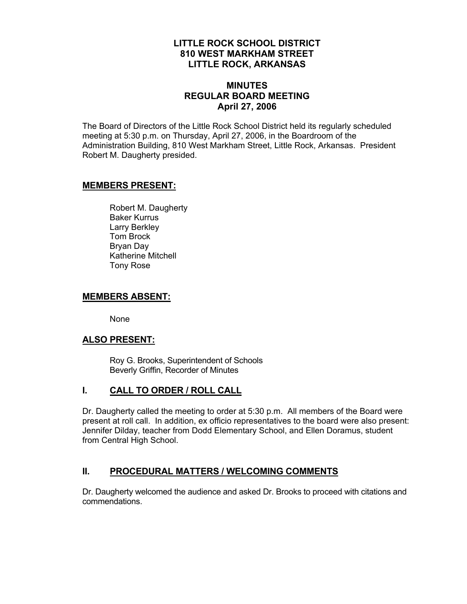### **LITTLE ROCK SCHOOL DISTRICT 810 WEST MARKHAM STREET LITTLE ROCK, ARKANSAS**

### **MINUTES REGULAR BOARD MEETING April 27, 2006**

The Board of Directors of the Little Rock School District held its regularly scheduled meeting at 5:30 p.m. on Thursday, April 27, 2006, in the Boardroom of the Administration Building, 810 West Markham Street, Little Rock, Arkansas. President Robert M. Daugherty presided.

#### **MEMBERS PRESENT:**

Robert M. Daugherty Baker Kurrus Larry Berkley Tom Brock Bryan Day Katherine Mitchell Tony Rose

#### **MEMBERS ABSENT:**

None

#### **ALSO PRESENT:**

 Roy G. Brooks, Superintendent of Schools Beverly Griffin, Recorder of Minutes

## **I. CALL TO ORDER / ROLL CALL**

Dr. Daugherty called the meeting to order at 5:30 p.m. All members of the Board were present at roll call. In addition, ex officio representatives to the board were also present: Jennifer Dilday, teacher from Dodd Elementary School, and Ellen Doramus, student from Central High School.

#### **II. PROCEDURAL MATTERS / WELCOMING COMMENTS**

Dr. Daugherty welcomed the audience and asked Dr. Brooks to proceed with citations and commendations.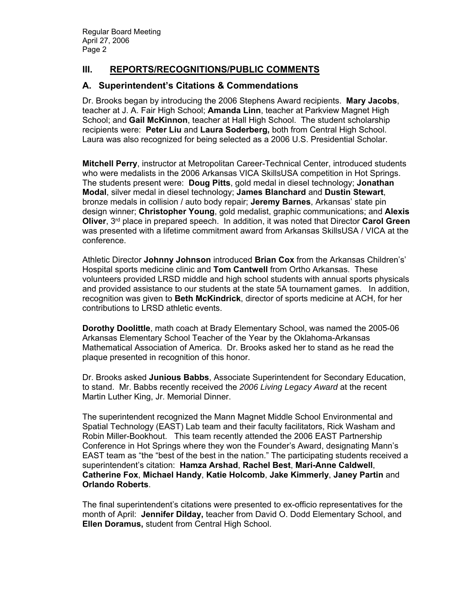## **III. REPORTS/RECOGNITIONS/PUBLIC COMMENTS**

#### **A. Superintendent's Citations & Commendations**

Dr. Brooks began by introducing the 2006 Stephens Award recipients. **Mary Jacobs**, teacher at J. A. Fair High School; **Amanda Linn**, teacher at Parkview Magnet High School; and **Gail McKinnon**, teacher at Hall High School. The student scholarship recipients were: **Peter Liu** and **Laura Soderberg,** both from Central High School. Laura was also recognized for being selected as a 2006 U.S. Presidential Scholar.

**Mitchell Perry**, instructor at Metropolitan Career-Technical Center, introduced students who were medalists in the 2006 Arkansas VICA SkillsUSA competition in Hot Springs. The students present were: **Doug Pitts**, gold medal in diesel technology; **Jonathan Modal**, silver medal in diesel technology; **James Blanchard** and **Dustin Stewart**, bronze medals in collision / auto body repair; **Jeremy Barnes**, Arkansas' state pin design winner; **Christopher Young**, gold medalist, graphic communications; and **Alexis Oliver**, 3rd place in prepared speech. In addition, it was noted that Director **Carol Green** was presented with a lifetime commitment award from Arkansas SkillsUSA / VICA at the conference.

Athletic Director **Johnny Johnson** introduced **Brian Cox** from the Arkansas Children's' Hospital sports medicine clinic and **Tom Cantwell** from Ortho Arkansas. These volunteers provided LRSD middle and high school students with annual sports physicals and provided assistance to our students at the state 5A tournament games. In addition, recognition was given to **Beth McKindrick**, director of sports medicine at ACH, for her contributions to LRSD athletic events.

**Dorothy Doolittle**, math coach at Brady Elementary School, was named the 2005-06 Arkansas Elementary School Teacher of the Year by the Oklahoma-Arkansas Mathematical Association of America. Dr. Brooks asked her to stand as he read the plaque presented in recognition of this honor.

Dr. Brooks asked **Junious Babbs**, Associate Superintendent for Secondary Education, to stand. Mr. Babbs recently received the *2006 Living Legacy Award* at the recent Martin Luther King, Jr. Memorial Dinner.

The superintendent recognized the Mann Magnet Middle School Environmental and Spatial Technology (EAST) Lab team and their faculty facilitators, Rick Washam and Robin Miller-Bookhout. This team recently attended the 2006 EAST Partnership Conference in Hot Springs where they won the Founder's Award, designating Mann's EAST team as "the "best of the best in the nation." The participating students received a superintendent's citation: **Hamza Arshad**, **Rachel Best**, **Mari-Anne Caldwell**, **Catherine Fox**, **Michael Handy**, **Katie Holcomb**, **Jake Kimmerly**, **Janey Partin** and **Orlando Roberts**.

The final superintendent's citations were presented to ex-officio representatives for the month of April: **Jennifer Dilday,** teacher from David O. Dodd Elementary School, and **Ellen Doramus,** student from Central High School.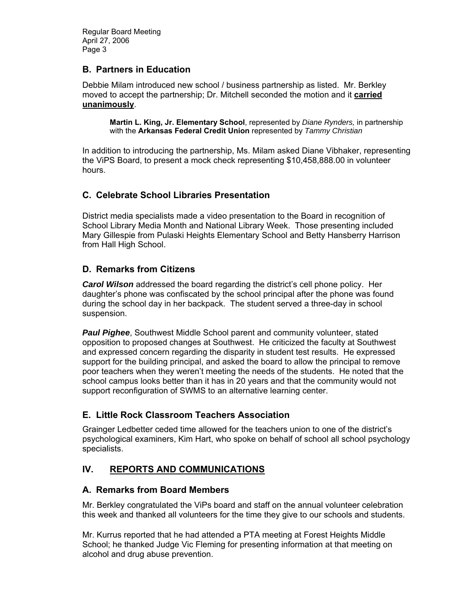### **B. Partners in Education**

Debbie Milam introduced new school / business partnership as listed. Mr. Berkley moved to accept the partnership; Dr. Mitchell seconded the motion and it **carried unanimously**.

**Martin L. King, Jr. Elementary School**, represented by *Diane Rynders,* in partnership with the **Arkansas Federal Credit Union** represented by *Tammy Christian*

In addition to introducing the partnership, Ms. Milam asked Diane Vibhaker, representing the ViPS Board, to present a mock check representing \$10,458,888.00 in volunteer hours.

## **C. Celebrate School Libraries Presentation**

District media specialists made a video presentation to the Board in recognition of School Library Media Month and National Library Week. Those presenting included Mary Gillespie from Pulaski Heights Elementary School and Betty Hansberry Harrison from Hall High School.

## **D. Remarks from Citizens**

*Carol Wilson* addressed the board regarding the district's cell phone policy. Her daughter's phone was confiscated by the school principal after the phone was found during the school day in her backpack. The student served a three-day in school suspension.

*Paul Pighee*, Southwest Middle School parent and community volunteer, stated opposition to proposed changes at Southwest. He criticized the faculty at Southwest and expressed concern regarding the disparity in student test results. He expressed support for the building principal, and asked the board to allow the principal to remove poor teachers when they weren't meeting the needs of the students. He noted that the school campus looks better than it has in 20 years and that the community would not support reconfiguration of SWMS to an alternative learning center.

## **E. Little Rock Classroom Teachers Association**

Grainger Ledbetter ceded time allowed for the teachers union to one of the district's psychological examiners, Kim Hart, who spoke on behalf of school all school psychology specialists.

## **IV. REPORTS AND COMMUNICATIONS**

#### **A. Remarks from Board Members**

Mr. Berkley congratulated the ViPs board and staff on the annual volunteer celebration this week and thanked all volunteers for the time they give to our schools and students.

Mr. Kurrus reported that he had attended a PTA meeting at Forest Heights Middle School; he thanked Judge Vic Fleming for presenting information at that meeting on alcohol and drug abuse prevention.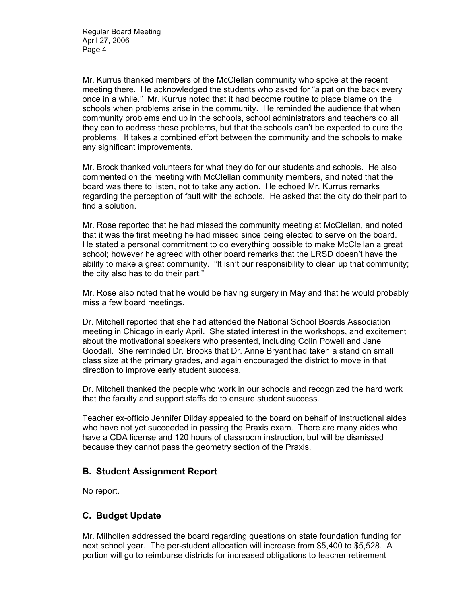Mr. Kurrus thanked members of the McClellan community who spoke at the recent meeting there. He acknowledged the students who asked for "a pat on the back every once in a while." Mr. Kurrus noted that it had become routine to place blame on the schools when problems arise in the community. He reminded the audience that when community problems end up in the schools, school administrators and teachers do all they can to address these problems, but that the schools can't be expected to cure the problems. It takes a combined effort between the community and the schools to make any significant improvements.

Mr. Brock thanked volunteers for what they do for our students and schools. He also commented on the meeting with McClellan community members, and noted that the board was there to listen, not to take any action. He echoed Mr. Kurrus remarks regarding the perception of fault with the schools. He asked that the city do their part to find a solution.

Mr. Rose reported that he had missed the community meeting at McClellan, and noted that it was the first meeting he had missed since being elected to serve on the board. He stated a personal commitment to do everything possible to make McClellan a great school; however he agreed with other board remarks that the LRSD doesn't have the ability to make a great community. "It isn't our responsibility to clean up that community; the city also has to do their part."

Mr. Rose also noted that he would be having surgery in May and that he would probably miss a few board meetings.

Dr. Mitchell reported that she had attended the National School Boards Association meeting in Chicago in early April. She stated interest in the workshops, and excitement about the motivational speakers who presented, including Colin Powell and Jane Goodall. She reminded Dr. Brooks that Dr. Anne Bryant had taken a stand on small class size at the primary grades, and again encouraged the district to move in that direction to improve early student success.

Dr. Mitchell thanked the people who work in our schools and recognized the hard work that the faculty and support staffs do to ensure student success.

Teacher ex-officio Jennifer Dilday appealed to the board on behalf of instructional aides who have not yet succeeded in passing the Praxis exam. There are many aides who have a CDA license and 120 hours of classroom instruction, but will be dismissed because they cannot pass the geometry section of the Praxis.

#### **B. Student Assignment Report**

No report.

#### **C. Budget Update**

Mr. Milhollen addressed the board regarding questions on state foundation funding for next school year. The per-student allocation will increase from \$5,400 to \$5,528. A portion will go to reimburse districts for increased obligations to teacher retirement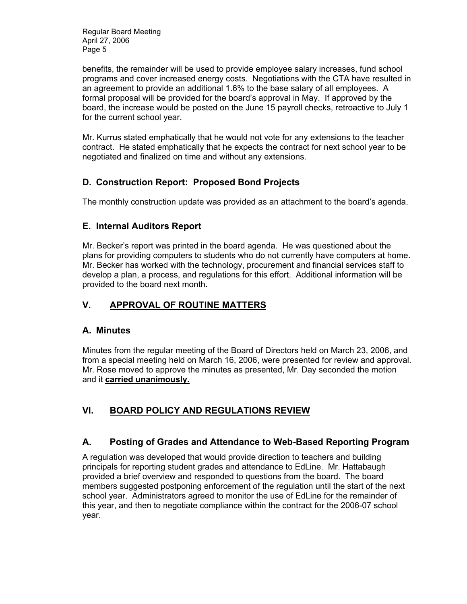benefits, the remainder will be used to provide employee salary increases, fund school programs and cover increased energy costs. Negotiations with the CTA have resulted in an agreement to provide an additional 1.6% to the base salary of all employees. A formal proposal will be provided for the board's approval in May. If approved by the board, the increase would be posted on the June 15 payroll checks, retroactive to July 1 for the current school year.

Mr. Kurrus stated emphatically that he would not vote for any extensions to the teacher contract. He stated emphatically that he expects the contract for next school year to be negotiated and finalized on time and without any extensions.

# **D. Construction Report: Proposed Bond Projects**

The monthly construction update was provided as an attachment to the board's agenda.

## **E. Internal Auditors Report**

Mr. Becker's report was printed in the board agenda. He was questioned about the plans for providing computers to students who do not currently have computers at home. Mr. Becker has worked with the technology, procurement and financial services staff to develop a plan, a process, and regulations for this effort. Additional information will be provided to the board next month.

# **V. APPROVAL OF ROUTINE MATTERS**

## **A. Minutes**

Minutes from the regular meeting of the Board of Directors held on March 23, 2006, and from a special meeting held on March 16, 2006, were presented for review and approval. Mr. Rose moved to approve the minutes as presented, Mr. Day seconded the motion and it **carried unanimously.** 

# **VI. BOARD POLICY AND REGULATIONS REVIEW**

## **A. Posting of Grades and Attendance to Web-Based Reporting Program**

A regulation was developed that would provide direction to teachers and building principals for reporting student grades and attendance to EdLine. Mr. Hattabaugh provided a brief overview and responded to questions from the board. The board members suggested postponing enforcement of the regulation until the start of the next school year. Administrators agreed to monitor the use of EdLine for the remainder of this year, and then to negotiate compliance within the contract for the 2006-07 school year.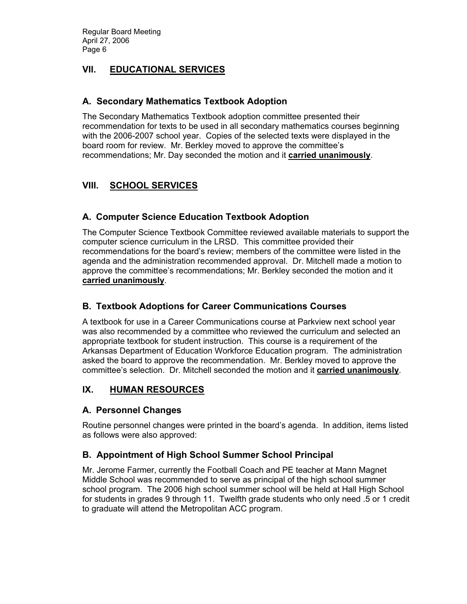## **VII. EDUCATIONAL SERVICES**

### **A. Secondary Mathematics Textbook Adoption**

The Secondary Mathematics Textbook adoption committee presented their recommendation for texts to be used in all secondary mathematics courses beginning with the 2006-2007 school year. Copies of the selected texts were displayed in the board room for review. Mr. Berkley moved to approve the committee's recommendations; Mr. Day seconded the motion and it **carried unanimously**.

# **VIII. SCHOOL SERVICES**

## **A. Computer Science Education Textbook Adoption**

The Computer Science Textbook Committee reviewed available materials to support the computer science curriculum in the LRSD. This committee provided their recommendations for the board's review; members of the committee were listed in the agenda and the administration recommended approval. Dr. Mitchell made a motion to approve the committee's recommendations; Mr. Berkley seconded the motion and it **carried unanimously**.

### **B. Textbook Adoptions for Career Communications Courses**

A textbook for use in a Career Communications course at Parkview next school year was also recommended by a committee who reviewed the curriculum and selected an appropriate textbook for student instruction. This course is a requirement of the Arkansas Department of Education Workforce Education program. The administration asked the board to approve the recommendation. Mr. Berkley moved to approve the committee's selection. Dr. Mitchell seconded the motion and it **carried unanimously**.

## **IX. HUMAN RESOURCES**

#### **A. Personnel Changes**

Routine personnel changes were printed in the board's agenda. In addition, items listed as follows were also approved:

## **B. Appointment of High School Summer School Principal**

Mr. Jerome Farmer, currently the Football Coach and PE teacher at Mann Magnet Middle School was recommended to serve as principal of the high school summer school program. The 2006 high school summer school will be held at Hall High School for students in grades 9 through 11. Twelfth grade students who only need .5 or 1 credit to graduate will attend the Metropolitan ACC program.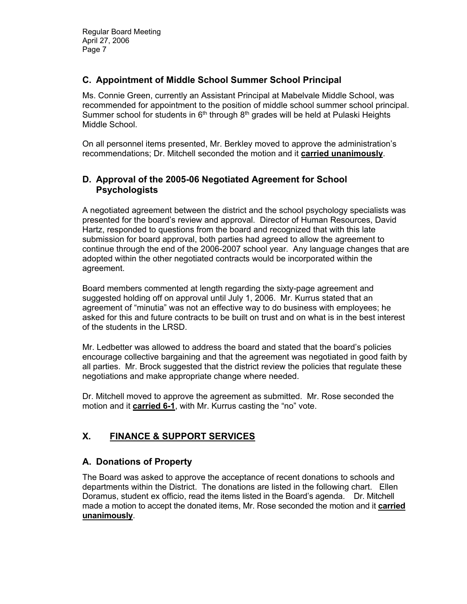## **C. Appointment of Middle School Summer School Principal**

Ms. Connie Green, currently an Assistant Principal at Mabelvale Middle School, was recommended for appointment to the position of middle school summer school principal. Summer school for students in  $6<sup>th</sup>$  through  $8<sup>th</sup>$  grades will be held at Pulaski Heights Middle School.

On all personnel items presented, Mr. Berkley moved to approve the administration's recommendations; Dr. Mitchell seconded the motion and it **carried unanimously**.

## **D. Approval of the 2005-06 Negotiated Agreement for School Psychologists**

A negotiated agreement between the district and the school psychology specialists was presented for the board's review and approval. Director of Human Resources, David Hartz, responded to questions from the board and recognized that with this late submission for board approval, both parties had agreed to allow the agreement to continue through the end of the 2006-2007 school year. Any language changes that are adopted within the other negotiated contracts would be incorporated within the agreement.

Board members commented at length regarding the sixty-page agreement and suggested holding off on approval until July 1, 2006. Mr. Kurrus stated that an agreement of "minutia" was not an effective way to do business with employees; he asked for this and future contracts to be built on trust and on what is in the best interest of the students in the LRSD.

Mr. Ledbetter was allowed to address the board and stated that the board's policies encourage collective bargaining and that the agreement was negotiated in good faith by all parties. Mr. Brock suggested that the district review the policies that regulate these negotiations and make appropriate change where needed.

Dr. Mitchell moved to approve the agreement as submitted. Mr. Rose seconded the motion and it **carried 6-1**, with Mr. Kurrus casting the "no" vote.

# **X. FINANCE & SUPPORT SERVICES**

#### **A. Donations of Property**

The Board was asked to approve the acceptance of recent donations to schools and departments within the District. The donations are listed in the following chart. Ellen Doramus, student ex officio, read the items listed in the Board's agenda. Dr. Mitchell made a motion to accept the donated items, Mr. Rose seconded the motion and it **carried unanimously**.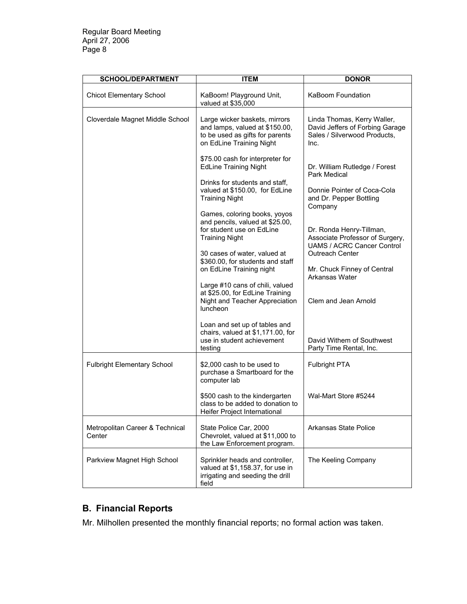| <b>SCHOOL/DEPARTMENT</b>                  | <b>ITEM</b>                                                                                                                    | <b>DONOR</b>                                                                                           |
|-------------------------------------------|--------------------------------------------------------------------------------------------------------------------------------|--------------------------------------------------------------------------------------------------------|
| <b>Chicot Elementary School</b>           | KaBoom! Playground Unit,<br>valued at \$35,000                                                                                 | KaBoom Foundation                                                                                      |
| Cloverdale Magnet Middle School           | Large wicker baskets, mirrors<br>and lamps, valued at \$150.00,<br>to be used as gifts for parents<br>on EdLine Training Night | Linda Thomas, Kerry Waller,<br>David Jeffers of Forbing Garage<br>Sales / Silverwood Products,<br>Inc. |
|                                           | \$75.00 cash for interpreter for<br><b>EdLine Training Night</b>                                                               | Dr. William Rutledge / Forest<br>Park Medical                                                          |
|                                           | Drinks for students and staff,<br>valued at \$150.00, for EdLine<br><b>Training Night</b>                                      | Donnie Pointer of Coca-Cola<br>and Dr. Pepper Bottling<br>Company                                      |
|                                           | Games, coloring books, yoyos<br>and pencils, valued at \$25.00,<br>for student use on EdLine<br><b>Training Night</b>          | Dr. Ronda Henry-Tillman,<br>Associate Professor of Surgery,<br><b>UAMS / ACRC Cancer Control</b>       |
|                                           | 30 cases of water, valued at<br>\$360.00, for students and staff<br>on EdLine Training night                                   | <b>Outreach Center</b><br>Mr. Chuck Finney of Central<br>Arkansas Water                                |
|                                           | Large #10 cans of chili, valued<br>at \$25.00, for EdLine Training<br>Night and Teacher Appreciation<br>luncheon               | Clem and Jean Arnold                                                                                   |
|                                           | Loan and set up of tables and<br>chairs, valued at \$1,171.00, for<br>use in student achievement<br>testing                    | David Withem of Southwest<br>Party Time Rental, Inc.                                                   |
| <b>Fulbright Elementary School</b>        | \$2,000 cash to be used to<br>purchase a Smartboard for the<br>computer lab                                                    | <b>Fulbright PTA</b>                                                                                   |
|                                           | \$500 cash to the kindergarten<br>class to be added to donation to<br>Heifer Project International                             | Wal-Mart Store #5244                                                                                   |
| Metropolitan Career & Technical<br>Center | State Police Car, 2000<br>Chevrolet, valued at \$11,000 to<br>the Law Enforcement program.                                     | Arkansas State Police                                                                                  |
| Parkview Magnet High School               | Sprinkler heads and controller,<br>valued at \$1,158.37, for use in<br>irrigating and seeding the drill<br>field               | The Keeling Company                                                                                    |

# **B. Financial Reports**

Mr. Milhollen presented the monthly financial reports; no formal action was taken.